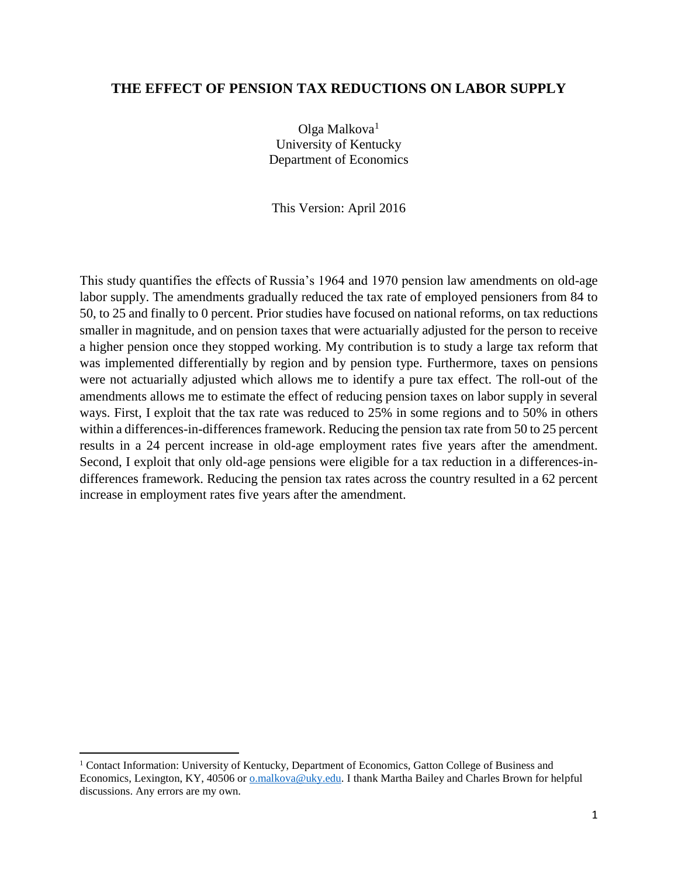# **THE EFFECT OF PENSION TAX REDUCTIONS ON LABOR SUPPLY**

Olga Malkova<sup>1</sup> University of Kentucky Department of Economics

This Version: April 2016

This study quantifies the effects of Russia's 1964 and 1970 pension law amendments on old-age labor supply. The amendments gradually reduced the tax rate of employed pensioners from 84 to 50, to 25 and finally to 0 percent. Prior studies have focused on national reforms, on tax reductions smaller in magnitude, and on pension taxes that were actuarially adjusted for the person to receive a higher pension once they stopped working. My contribution is to study a large tax reform that was implemented differentially by region and by pension type. Furthermore, taxes on pensions were not actuarially adjusted which allows me to identify a pure tax effect. The roll-out of the amendments allows me to estimate the effect of reducing pension taxes on labor supply in several ways. First, I exploit that the tax rate was reduced to 25% in some regions and to 50% in others within a differences-in-differences framework. Reducing the pension tax rate from 50 to 25 percent results in a 24 percent increase in old-age employment rates five years after the amendment. Second, I exploit that only old-age pensions were eligible for a tax reduction in a differences-indifferences framework. Reducing the pension tax rates across the country resulted in a 62 percent increase in employment rates five years after the amendment.

<sup>1</sup> Contact Information: University of Kentucky, Department of Economics, Gatton College of Business and Economics, Lexington, KY, 40506 or [o.malkova@uky.edu.](mailto:o.malkova@uky.edu) I thank Martha Bailey and Charles Brown for helpful discussions. Any errors are my own.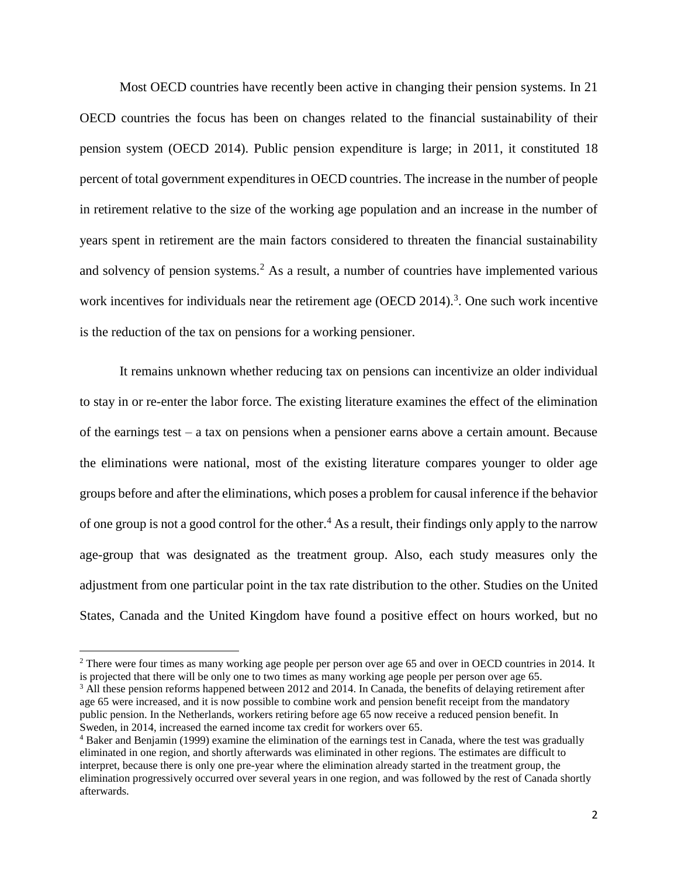Most OECD countries have recently been active in changing their pension systems. In 21 OECD countries the focus has been on changes related to the financial sustainability of their pension system (OECD 2014). Public pension expenditure is large; in 2011, it constituted 18 percent of total government expenditures in OECD countries. The increase in the number of people in retirement relative to the size of the working age population and an increase in the number of years spent in retirement are the main factors considered to threaten the financial sustainability and solvency of pension systems.<sup>2</sup> As a result, a number of countries have implemented various work incentives for individuals near the retirement age (OECD 2014).<sup>3</sup>. One such work incentive is the reduction of the tax on pensions for a working pensioner.

It remains unknown whether reducing tax on pensions can incentivize an older individual to stay in or re-enter the labor force. The existing literature examines the effect of the elimination of the earnings test – a tax on pensions when a pensioner earns above a certain amount. Because the eliminations were national, most of the existing literature compares younger to older age groups before and after the eliminations, which poses a problem for causal inference if the behavior of one group is not a good control for the other.<sup>4</sup> As a result, their findings only apply to the narrow age-group that was designated as the treatment group. Also, each study measures only the adjustment from one particular point in the tax rate distribution to the other. Studies on the United States, Canada and the United Kingdom have found a positive effect on hours worked, but no

<sup>&</sup>lt;sup>2</sup> There were four times as many working age people per person over age 65 and over in OECD countries in 2014. It is projected that there will be only one to two times as many working age people per person over age 65.

<sup>&</sup>lt;sup>3</sup> All these pension reforms happened between 2012 and 2014. In Canada, the benefits of delaying retirement after age 65 were increased, and it is now possible to combine work and pension benefit receipt from the mandatory public pension. In the Netherlands, workers retiring before age 65 now receive a reduced pension benefit. In Sweden, in 2014, increased the earned income tax credit for workers over 65.

<sup>4</sup> Baker and Benjamin (1999) examine the elimination of the earnings test in Canada, where the test was gradually eliminated in one region, and shortly afterwards was eliminated in other regions. The estimates are difficult to interpret, because there is only one pre-year where the elimination already started in the treatment group, the elimination progressively occurred over several years in one region, and was followed by the rest of Canada shortly afterwards.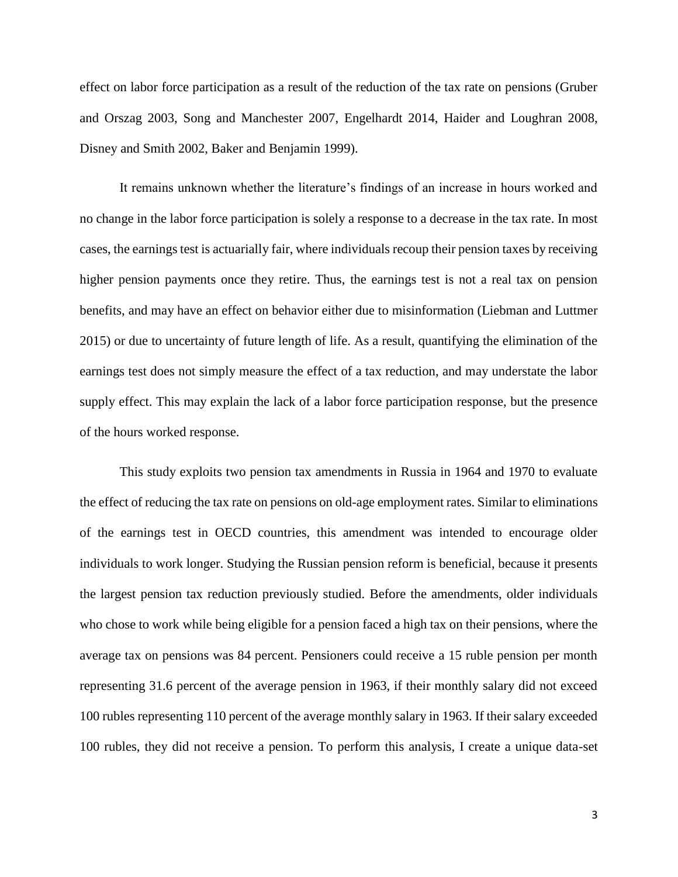effect on labor force participation as a result of the reduction of the tax rate on pensions (Gruber and Orszag 2003, Song and Manchester 2007, Engelhardt 2014, Haider and Loughran 2008, Disney and Smith 2002, Baker and Benjamin 1999).

It remains unknown whether the literature's findings of an increase in hours worked and no change in the labor force participation is solely a response to a decrease in the tax rate. In most cases, the earnings test is actuarially fair, where individuals recoup their pension taxes by receiving higher pension payments once they retire. Thus, the earnings test is not a real tax on pension benefits, and may have an effect on behavior either due to misinformation (Liebman and Luttmer 2015) or due to uncertainty of future length of life. As a result, quantifying the elimination of the earnings test does not simply measure the effect of a tax reduction, and may understate the labor supply effect. This may explain the lack of a labor force participation response, but the presence of the hours worked response.

This study exploits two pension tax amendments in Russia in 1964 and 1970 to evaluate the effect of reducing the tax rate on pensions on old-age employment rates. Similar to eliminations of the earnings test in OECD countries, this amendment was intended to encourage older individuals to work longer. Studying the Russian pension reform is beneficial, because it presents the largest pension tax reduction previously studied. Before the amendments, older individuals who chose to work while being eligible for a pension faced a high tax on their pensions, where the average tax on pensions was 84 percent. Pensioners could receive a 15 ruble pension per month representing 31.6 percent of the average pension in 1963, if their monthly salary did not exceed 100 rubles representing 110 percent of the average monthly salary in 1963. If their salary exceeded 100 rubles, they did not receive a pension. To perform this analysis, I create a unique data-set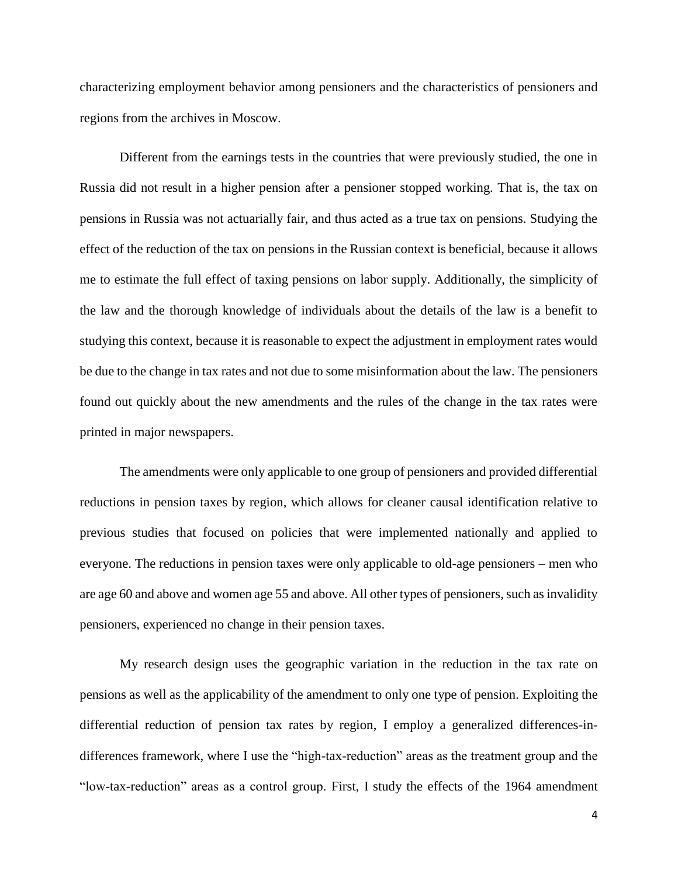characterizing employment behavior among pensioners and the characteristics of pensioners and regions from the archives in Moscow.

Different from the earnings tests in the countries that were previously studied, the one in Russia did not result in a higher pension after a pensioner stopped working. That is, the tax on pensions in Russia was not actuarially fair, and thus acted as a true tax on pensions. Studying the effect of the reduction of the tax on pensions in the Russian context is beneficial, because it allows me to estimate the full effect of taxing pensions on labor supply. Additionally, the simplicity of the law and the thorough knowledge of individuals about the details of the law is a benefit to studying this context, because it is reasonable to expect the adjustment in employment rates would be due to the change in tax rates and not due to some misinformation about the law. The pensioners found out quickly about the new amendments and the rules of the change in the tax rates were printed in major newspapers.

The amendments were only applicable to one group of pensioners and provided differential reductions in pension taxes by region, which allows for cleaner causal identification relative to previous studies that focused on policies that were implemented nationally and applied to everyone. The reductions in pension taxes were only applicable to old-age pensioners – men who are age 60 and above and women age 55 and above. All other types of pensioners, such as invalidity pensioners, experienced no change in their pension taxes.

My research design uses the geographic variation in the reduction in the tax rate on pensions as well as the applicability of the amendment to only one type of pension. Exploiting the differential reduction of pension tax rates by region, I employ a generalized differences-indifferences framework, where I use the "high-tax-reduction" areas as the treatment group and the "low-tax-reduction" areas as a control group. First, I study the effects of the 1964 amendment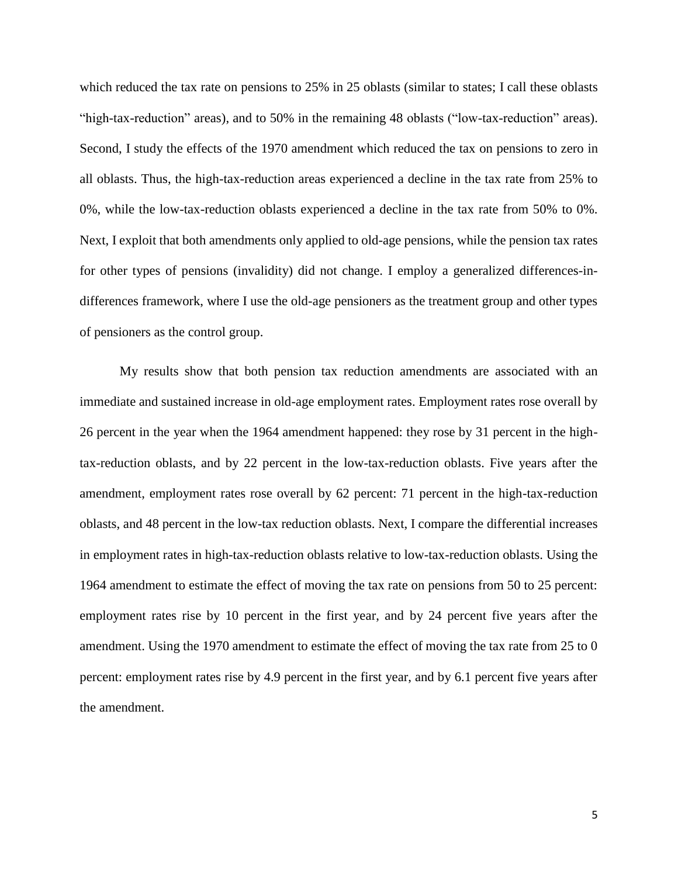which reduced the tax rate on pensions to 25% in 25 oblasts (similar to states; I call these oblasts "high-tax-reduction" areas), and to 50% in the remaining 48 oblasts ("low-tax-reduction" areas). Second, I study the effects of the 1970 amendment which reduced the tax on pensions to zero in all oblasts. Thus, the high-tax-reduction areas experienced a decline in the tax rate from 25% to 0%, while the low-tax-reduction oblasts experienced a decline in the tax rate from 50% to 0%. Next, I exploit that both amendments only applied to old-age pensions, while the pension tax rates for other types of pensions (invalidity) did not change. I employ a generalized differences-indifferences framework, where I use the old-age pensioners as the treatment group and other types of pensioners as the control group.

My results show that both pension tax reduction amendments are associated with an immediate and sustained increase in old-age employment rates. Employment rates rose overall by 26 percent in the year when the 1964 amendment happened: they rose by 31 percent in the hightax-reduction oblasts, and by 22 percent in the low-tax-reduction oblasts. Five years after the amendment, employment rates rose overall by 62 percent: 71 percent in the high-tax-reduction oblasts, and 48 percent in the low-tax reduction oblasts. Next, I compare the differential increases in employment rates in high-tax-reduction oblasts relative to low-tax-reduction oblasts. Using the 1964 amendment to estimate the effect of moving the tax rate on pensions from 50 to 25 percent: employment rates rise by 10 percent in the first year, and by 24 percent five years after the amendment. Using the 1970 amendment to estimate the effect of moving the tax rate from 25 to 0 percent: employment rates rise by 4.9 percent in the first year, and by 6.1 percent five years after the amendment.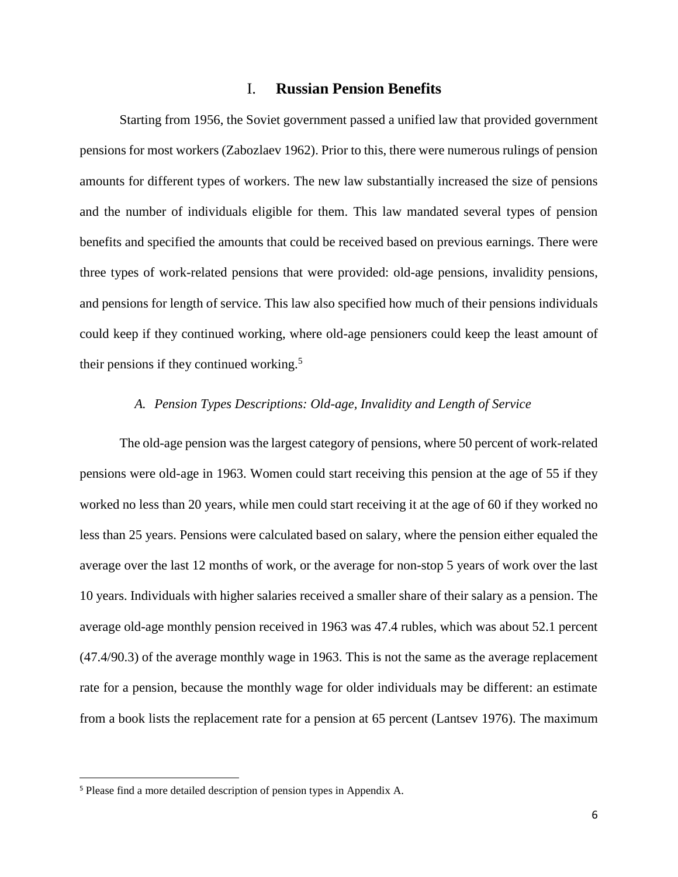## I. **Russian Pension Benefits**

Starting from 1956, the Soviet government passed a unified law that provided government pensions for most workers (Zabozlaev 1962). Prior to this, there were numerous rulings of pension amounts for different types of workers. The new law substantially increased the size of pensions and the number of individuals eligible for them. This law mandated several types of pension benefits and specified the amounts that could be received based on previous earnings. There were three types of work-related pensions that were provided: old-age pensions, invalidity pensions, and pensions for length of service. This law also specified how much of their pensions individuals could keep if they continued working, where old-age pensioners could keep the least amount of their pensions if they continued working.<sup>5</sup>

## *A. Pension Types Descriptions: Old-age, Invalidity and Length of Service*

The old-age pension was the largest category of pensions, where 50 percent of work-related pensions were old-age in 1963. Women could start receiving this pension at the age of 55 if they worked no less than 20 years, while men could start receiving it at the age of 60 if they worked no less than 25 years. Pensions were calculated based on salary, where the pension either equaled the average over the last 12 months of work, or the average for non-stop 5 years of work over the last 10 years. Individuals with higher salaries received a smaller share of their salary as a pension. The average old-age monthly pension received in 1963 was 47.4 rubles, which was about 52.1 percent (47.4/90.3) of the average monthly wage in 1963. This is not the same as the average replacement rate for a pension, because the monthly wage for older individuals may be different: an estimate from a book lists the replacement rate for a pension at 65 percent (Lantsev 1976). The maximum

<sup>5</sup> Please find a more detailed description of pension types in Appendix A.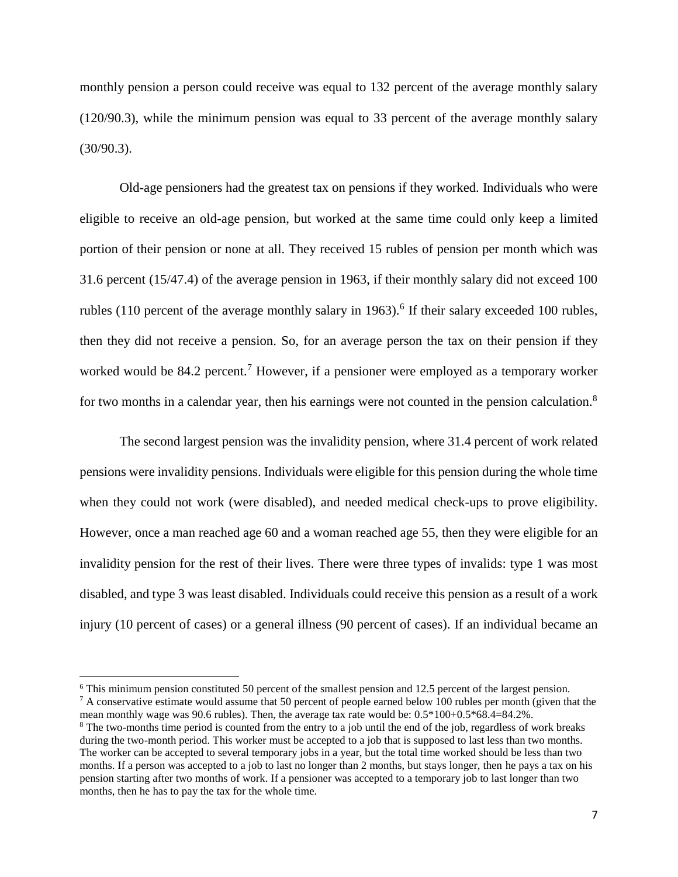monthly pension a person could receive was equal to 132 percent of the average monthly salary (120/90.3), while the minimum pension was equal to 33 percent of the average monthly salary (30/90.3).

Old-age pensioners had the greatest tax on pensions if they worked. Individuals who were eligible to receive an old-age pension, but worked at the same time could only keep a limited portion of their pension or none at all. They received 15 rubles of pension per month which was 31.6 percent (15/47.4) of the average pension in 1963, if their monthly salary did not exceed 100 rubles  $(110$  percent of the average monthly salary in 1963).<sup>6</sup> If their salary exceeded 100 rubles, then they did not receive a pension. So, for an average person the tax on their pension if they worked would be 84.2 percent.<sup>7</sup> However, if a pensioner were employed as a temporary worker for two months in a calendar year, then his earnings were not counted in the pension calculation.<sup>8</sup>

The second largest pension was the invalidity pension, where 31.4 percent of work related pensions were invalidity pensions. Individuals were eligible for this pension during the whole time when they could not work (were disabled), and needed medical check-ups to prove eligibility. However, once a man reached age 60 and a woman reached age 55, then they were eligible for an invalidity pension for the rest of their lives. There were three types of invalids: type 1 was most disabled, and type 3 was least disabled. Individuals could receive this pension as a result of a work injury (10 percent of cases) or a general illness (90 percent of cases). If an individual became an

<sup>6</sup> This minimum pension constituted 50 percent of the smallest pension and 12.5 percent of the largest pension.

 $^7$  A conservative estimate would assume that 50 percent of people earned below 100 rubles per month (given that the mean monthly wage was 90.6 rubles). Then, the average tax rate would be: 0.5\*100+0.5\*68.4=84.2%. <sup>8</sup> The two-months time period is counted from the entry to a job until the end of the job, regardless of work breaks

during the two-month period. This worker must be accepted to a job that is supposed to last less than two months. The worker can be accepted to several temporary jobs in a year, but the total time worked should be less than two months. If a person was accepted to a job to last no longer than 2 months, but stays longer, then he pays a tax on his pension starting after two months of work. If a pensioner was accepted to a temporary job to last longer than two months, then he has to pay the tax for the whole time.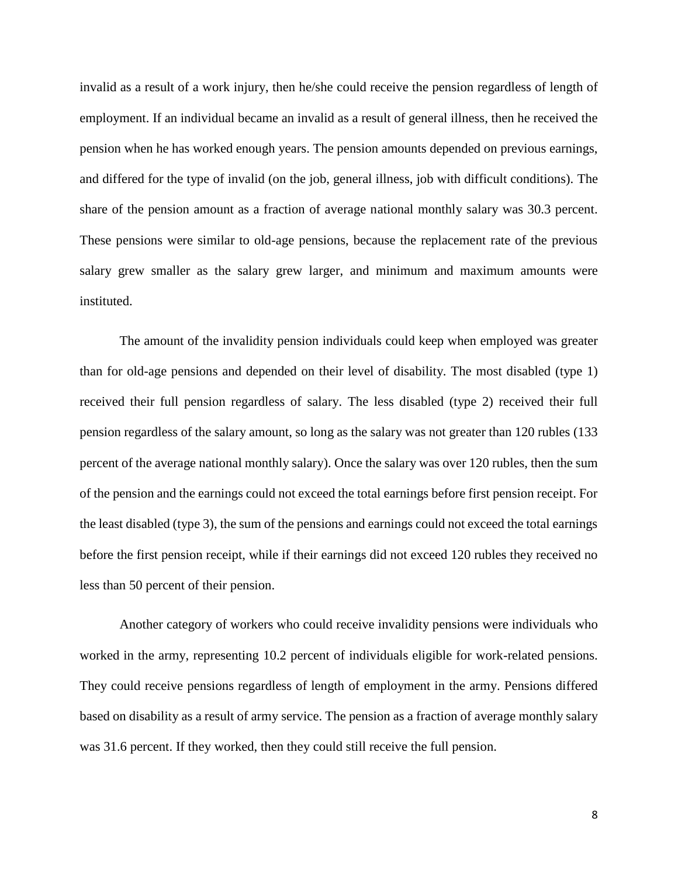invalid as a result of a work injury, then he/she could receive the pension regardless of length of employment. If an individual became an invalid as a result of general illness, then he received the pension when he has worked enough years. The pension amounts depended on previous earnings, and differed for the type of invalid (on the job, general illness, job with difficult conditions). The share of the pension amount as a fraction of average national monthly salary was 30.3 percent. These pensions were similar to old-age pensions, because the replacement rate of the previous salary grew smaller as the salary grew larger, and minimum and maximum amounts were instituted.

The amount of the invalidity pension individuals could keep when employed was greater than for old-age pensions and depended on their level of disability. The most disabled (type 1) received their full pension regardless of salary. The less disabled (type 2) received their full pension regardless of the salary amount, so long as the salary was not greater than 120 rubles (133 percent of the average national monthly salary). Once the salary was over 120 rubles, then the sum of the pension and the earnings could not exceed the total earnings before first pension receipt. For the least disabled (type 3), the sum of the pensions and earnings could not exceed the total earnings before the first pension receipt, while if their earnings did not exceed 120 rubles they received no less than 50 percent of their pension.

Another category of workers who could receive invalidity pensions were individuals who worked in the army, representing 10.2 percent of individuals eligible for work-related pensions. They could receive pensions regardless of length of employment in the army. Pensions differed based on disability as a result of army service. The pension as a fraction of average monthly salary was 31.6 percent. If they worked, then they could still receive the full pension.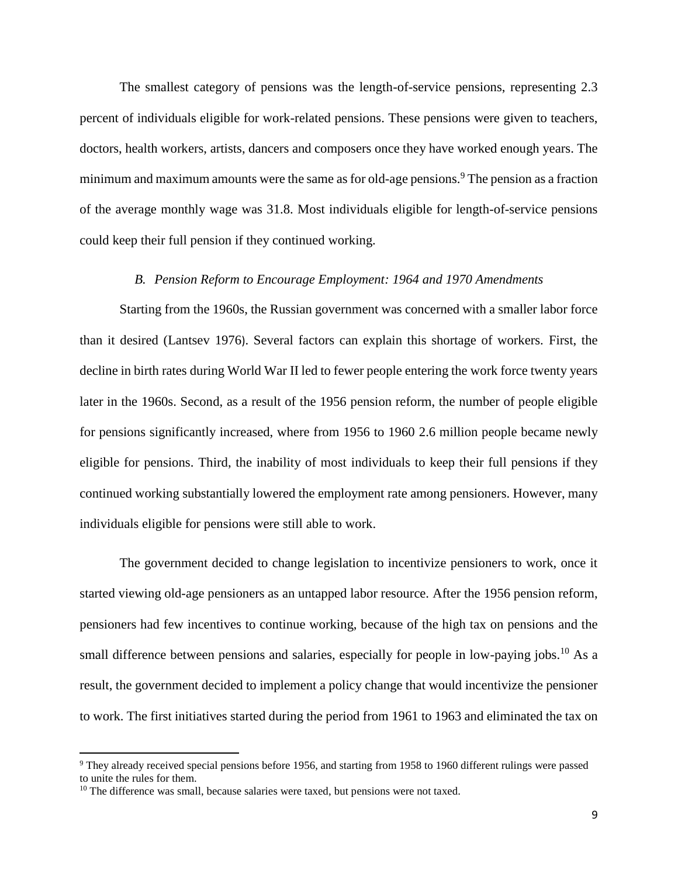The smallest category of pensions was the length-of-service pensions, representing 2.3 percent of individuals eligible for work-related pensions. These pensions were given to teachers, doctors, health workers, artists, dancers and composers once they have worked enough years. The minimum and maximum amounts were the same as for old-age pensions.<sup>9</sup> The pension as a fraction of the average monthly wage was 31.8. Most individuals eligible for length-of-service pensions could keep their full pension if they continued working.

### *B. Pension Reform to Encourage Employment: 1964 and 1970 Amendments*

Starting from the 1960s, the Russian government was concerned with a smaller labor force than it desired (Lantsev 1976). Several factors can explain this shortage of workers. First, the decline in birth rates during World War II led to fewer people entering the work force twenty years later in the 1960s. Second, as a result of the 1956 pension reform, the number of people eligible for pensions significantly increased, where from 1956 to 1960 2.6 million people became newly eligible for pensions. Third, the inability of most individuals to keep their full pensions if they continued working substantially lowered the employment rate among pensioners. However, many individuals eligible for pensions were still able to work.

The government decided to change legislation to incentivize pensioners to work, once it started viewing old-age pensioners as an untapped labor resource. After the 1956 pension reform, pensioners had few incentives to continue working, because of the high tax on pensions and the small difference between pensions and salaries, especially for people in low-paying jobs.<sup>10</sup> As a result, the government decided to implement a policy change that would incentivize the pensioner to work. The first initiatives started during the period from 1961 to 1963 and eliminated the tax on

<sup>9</sup> They already received special pensions before 1956, and starting from 1958 to 1960 different rulings were passed to unite the rules for them.

 $10$  The difference was small, because salaries were taxed, but pensions were not taxed.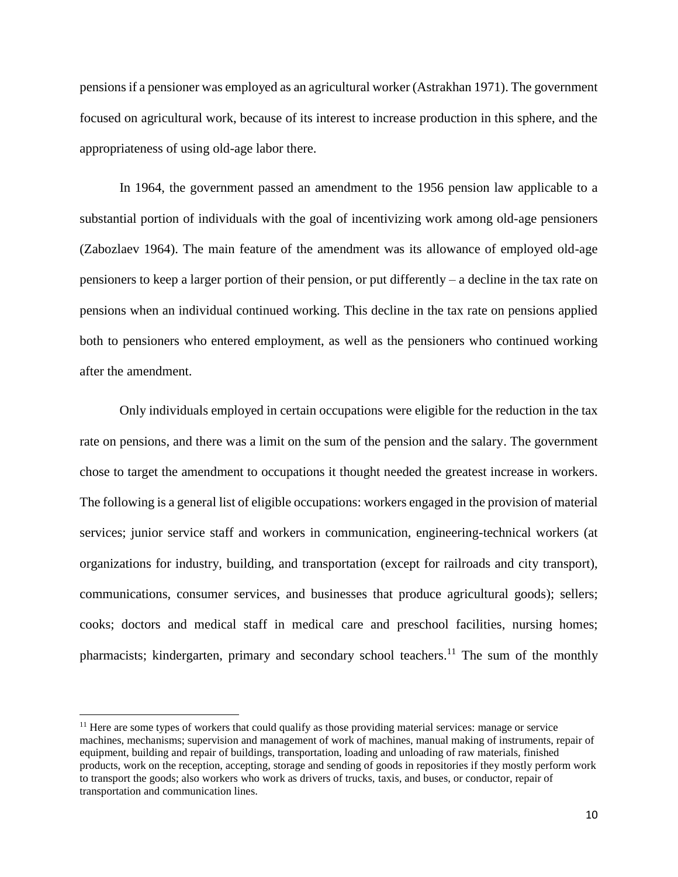pensions if a pensioner was employed as an agricultural worker (Astrakhan 1971). The government focused on agricultural work, because of its interest to increase production in this sphere, and the appropriateness of using old-age labor there.

In 1964, the government passed an amendment to the 1956 pension law applicable to a substantial portion of individuals with the goal of incentivizing work among old-age pensioners (Zabozlaev 1964). The main feature of the amendment was its allowance of employed old-age pensioners to keep a larger portion of their pension, or put differently – a decline in the tax rate on pensions when an individual continued working. This decline in the tax rate on pensions applied both to pensioners who entered employment, as well as the pensioners who continued working after the amendment.

Only individuals employed in certain occupations were eligible for the reduction in the tax rate on pensions, and there was a limit on the sum of the pension and the salary. The government chose to target the amendment to occupations it thought needed the greatest increase in workers. The following is a general list of eligible occupations: workers engaged in the provision of material services; junior service staff and workers in communication, engineering-technical workers (at organizations for industry, building, and transportation (except for railroads and city transport), communications, consumer services, and businesses that produce agricultural goods); sellers; cooks; doctors and medical staff in medical care and preschool facilities, nursing homes; pharmacists; kindergarten, primary and secondary school teachers.<sup>11</sup> The sum of the monthly

l

<sup>&</sup>lt;sup>11</sup> Here are some types of workers that could qualify as those providing material services: manage or service machines, mechanisms; supervision and management of work of machines, manual making of instruments, repair of equipment, building and repair of buildings, transportation, loading and unloading of raw materials, finished products, work on the reception, accepting, storage and sending of goods in repositories if they mostly perform work to transport the goods; also workers who work as drivers of trucks, taxis, and buses, or conductor, repair of transportation and communication lines.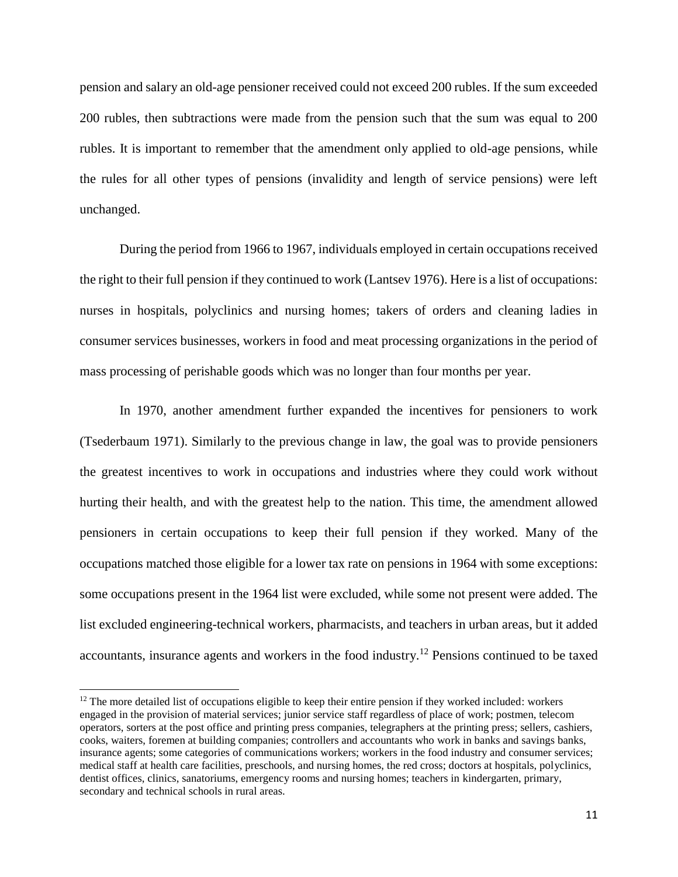pension and salary an old-age pensioner received could not exceed 200 rubles. If the sum exceeded 200 rubles, then subtractions were made from the pension such that the sum was equal to 200 rubles. It is important to remember that the amendment only applied to old-age pensions, while the rules for all other types of pensions (invalidity and length of service pensions) were left unchanged.

During the period from 1966 to 1967, individuals employed in certain occupations received the right to their full pension if they continued to work (Lantsev 1976). Here is a list of occupations: nurses in hospitals, polyclinics and nursing homes; takers of orders and cleaning ladies in consumer services businesses, workers in food and meat processing organizations in the period of mass processing of perishable goods which was no longer than four months per year.

In 1970, another amendment further expanded the incentives for pensioners to work (Tsederbaum 1971). Similarly to the previous change in law, the goal was to provide pensioners the greatest incentives to work in occupations and industries where they could work without hurting their health, and with the greatest help to the nation. This time, the amendment allowed pensioners in certain occupations to keep their full pension if they worked. Many of the occupations matched those eligible for a lower tax rate on pensions in 1964 with some exceptions: some occupations present in the 1964 list were excluded, while some not present were added. The list excluded engineering-technical workers, pharmacists, and teachers in urban areas, but it added accountants, insurance agents and workers in the food industry.<sup>12</sup> Pensions continued to be taxed

 $\overline{a}$ 

 $12$  The more detailed list of occupations eligible to keep their entire pension if they worked included: workers engaged in the provision of material services; junior service staff regardless of place of work; postmen, telecom operators, sorters at the post office and printing press companies, telegraphers at the printing press; sellers, cashiers, cooks, waiters, foremen at building companies; controllers and accountants who work in banks and savings banks, insurance agents; some categories of communications workers; workers in the food industry and consumer services; medical staff at health care facilities, preschools, and nursing homes, the red cross; doctors at hospitals, polyclinics, dentist offices, clinics, sanatoriums, emergency rooms and nursing homes; teachers in kindergarten, primary, secondary and technical schools in rural areas.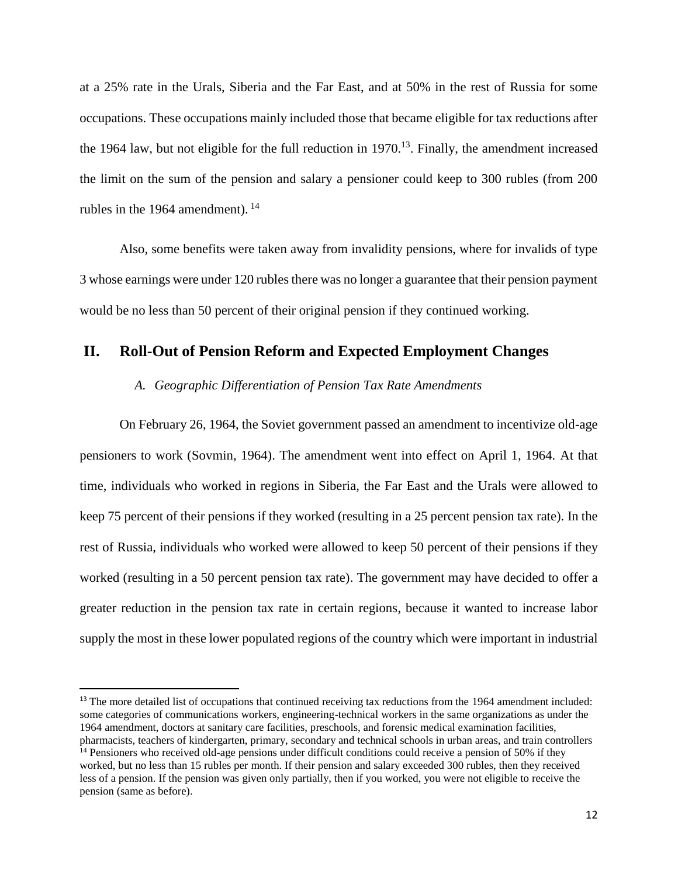at a 25% rate in the Urals, Siberia and the Far East, and at 50% in the rest of Russia for some occupations. These occupations mainly included those that became eligible for tax reductions after the 1964 law, but not eligible for the full reduction in  $1970$ .<sup>13</sup>. Finally, the amendment increased the limit on the sum of the pension and salary a pensioner could keep to 300 rubles (from 200 rubles in the 1964 amendment). 14

Also, some benefits were taken away from invalidity pensions, where for invalids of type 3 whose earnings were under 120 rubles there was no longer a guarantee that their pension payment would be no less than 50 percent of their original pension if they continued working.

# **II. Roll-Out of Pension Reform and Expected Employment Changes**

### *A. Geographic Differentiation of Pension Tax Rate Amendments*

On February 26, 1964, the Soviet government passed an amendment to incentivize old-age pensioners to work (Sovmin, 1964). The amendment went into effect on April 1, 1964. At that time, individuals who worked in regions in Siberia, the Far East and the Urals were allowed to keep 75 percent of their pensions if they worked (resulting in a 25 percent pension tax rate). In the rest of Russia, individuals who worked were allowed to keep 50 percent of their pensions if they worked (resulting in a 50 percent pension tax rate). The government may have decided to offer a greater reduction in the pension tax rate in certain regions, because it wanted to increase labor supply the most in these lower populated regions of the country which were important in industrial

<sup>13</sup> The more detailed list of occupations that continued receiving tax reductions from the 1964 amendment included: some categories of communications workers, engineering-technical workers in the same organizations as under the 1964 amendment, doctors at sanitary care facilities, preschools, and forensic medical examination facilities, pharmacists, teachers of kindergarten, primary, secondary and technical schools in urban areas, and train controllers

l

 $14$  Pensioners who received old-age pensions under difficult conditions could receive a pension of 50% if they worked, but no less than 15 rubles per month. If their pension and salary exceeded 300 rubles, then they received less of a pension. If the pension was given only partially, then if you worked, you were not eligible to receive the pension (same as before).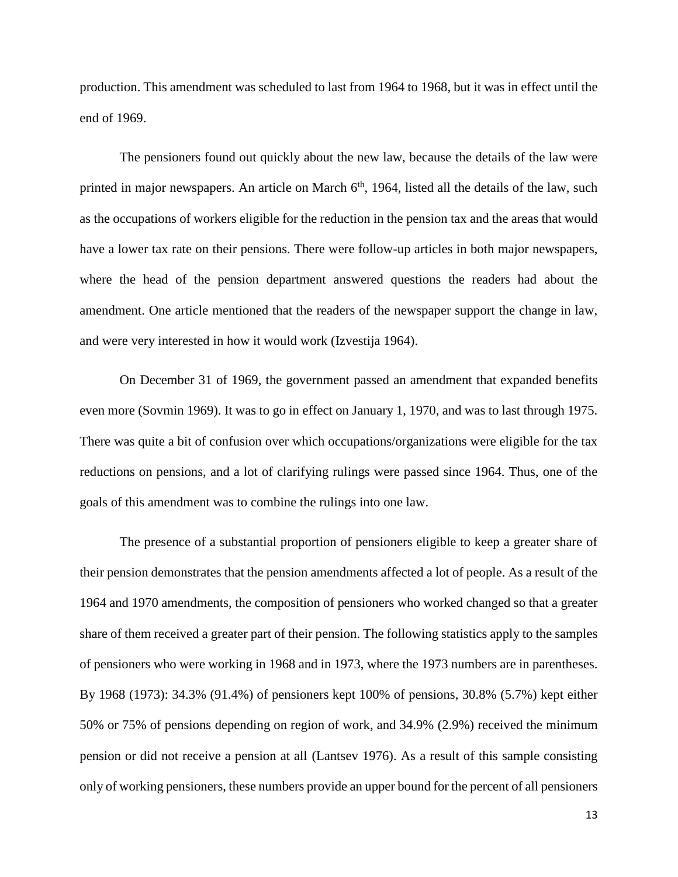production. This amendment was scheduled to last from 1964 to 1968, but it was in effect until the end of 1969.

The pensioners found out quickly about the new law, because the details of the law were printed in major newspapers. An article on March  $6<sup>th</sup>$ , 1964, listed all the details of the law, such as the occupations of workers eligible for the reduction in the pension tax and the areas that would have a lower tax rate on their pensions. There were follow-up articles in both major newspapers, where the head of the pension department answered questions the readers had about the amendment. One article mentioned that the readers of the newspaper support the change in law, and were very interested in how it would work (Izvestija 1964).

On December 31 of 1969, the government passed an amendment that expanded benefits even more (Sovmin 1969). It was to go in effect on January 1, 1970, and was to last through 1975. There was quite a bit of confusion over which occupations/organizations were eligible for the tax reductions on pensions, and a lot of clarifying rulings were passed since 1964. Thus, one of the goals of this amendment was to combine the rulings into one law.

The presence of a substantial proportion of pensioners eligible to keep a greater share of their pension demonstrates that the pension amendments affected a lot of people. As a result of the 1964 and 1970 amendments, the composition of pensioners who worked changed so that a greater share of them received a greater part of their pension. The following statistics apply to the samples of pensioners who were working in 1968 and in 1973, where the 1973 numbers are in parentheses. By 1968 (1973): 34.3% (91.4%) of pensioners kept 100% of pensions, 30.8% (5.7%) kept either 50% or 75% of pensions depending on region of work, and 34.9% (2.9%) received the minimum pension or did not receive a pension at all (Lantsev 1976). As a result of this sample consisting only of working pensioners, these numbers provide an upper bound for the percent of all pensioners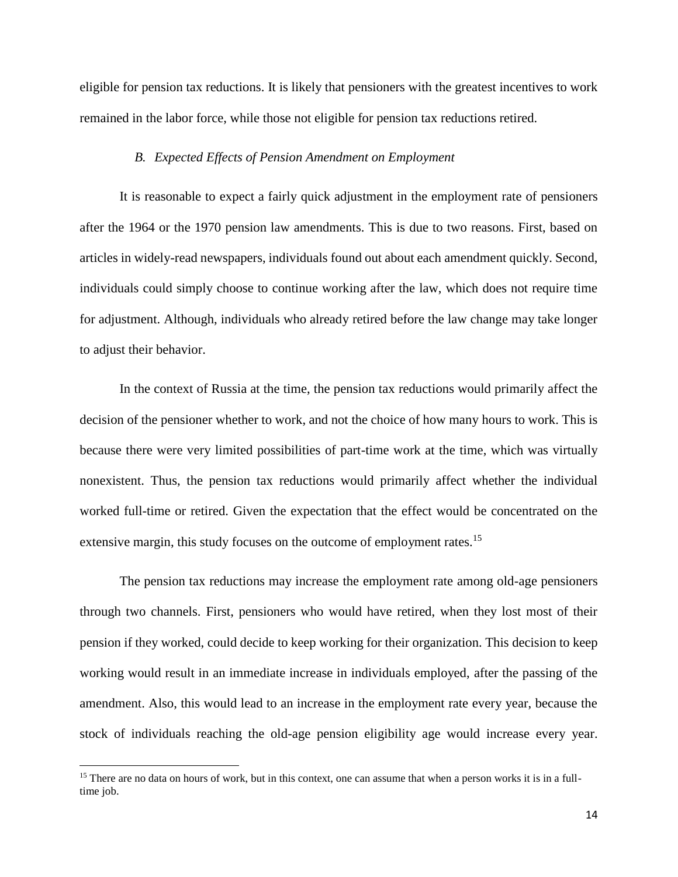eligible for pension tax reductions. It is likely that pensioners with the greatest incentives to work remained in the labor force, while those not eligible for pension tax reductions retired.

## *B. Expected Effects of Pension Amendment on Employment*

It is reasonable to expect a fairly quick adjustment in the employment rate of pensioners after the 1964 or the 1970 pension law amendments. This is due to two reasons. First, based on articles in widely-read newspapers, individuals found out about each amendment quickly. Second, individuals could simply choose to continue working after the law, which does not require time for adjustment. Although, individuals who already retired before the law change may take longer to adjust their behavior.

In the context of Russia at the time, the pension tax reductions would primarily affect the decision of the pensioner whether to work, and not the choice of how many hours to work. This is because there were very limited possibilities of part-time work at the time, which was virtually nonexistent. Thus, the pension tax reductions would primarily affect whether the individual worked full-time or retired. Given the expectation that the effect would be concentrated on the extensive margin, this study focuses on the outcome of employment rates.<sup>15</sup>

The pension tax reductions may increase the employment rate among old-age pensioners through two channels. First, pensioners who would have retired, when they lost most of their pension if they worked, could decide to keep working for their organization. This decision to keep working would result in an immediate increase in individuals employed, after the passing of the amendment. Also, this would lead to an increase in the employment rate every year, because the stock of individuals reaching the old-age pension eligibility age would increase every year.

 $15$  There are no data on hours of work, but in this context, one can assume that when a person works it is in a fulltime job.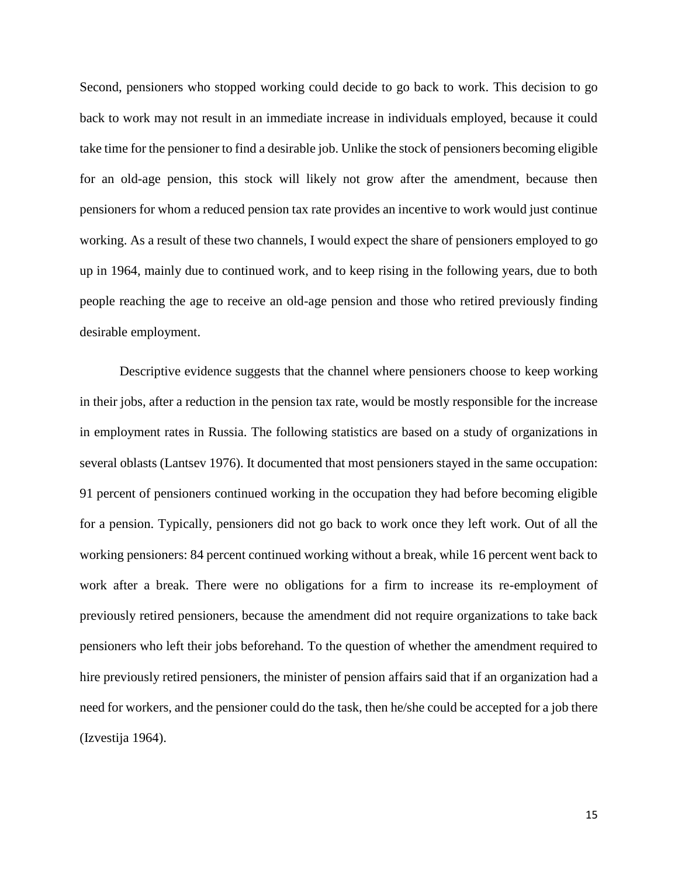Second, pensioners who stopped working could decide to go back to work. This decision to go back to work may not result in an immediate increase in individuals employed, because it could take time for the pensioner to find a desirable job. Unlike the stock of pensioners becoming eligible for an old-age pension, this stock will likely not grow after the amendment, because then pensioners for whom a reduced pension tax rate provides an incentive to work would just continue working. As a result of these two channels, I would expect the share of pensioners employed to go up in 1964, mainly due to continued work, and to keep rising in the following years, due to both people reaching the age to receive an old-age pension and those who retired previously finding desirable employment.

Descriptive evidence suggests that the channel where pensioners choose to keep working in their jobs, after a reduction in the pension tax rate, would be mostly responsible for the increase in employment rates in Russia. The following statistics are based on a study of organizations in several oblasts (Lantsev 1976). It documented that most pensioners stayed in the same occupation: 91 percent of pensioners continued working in the occupation they had before becoming eligible for a pension. Typically, pensioners did not go back to work once they left work. Out of all the working pensioners: 84 percent continued working without a break, while 16 percent went back to work after a break. There were no obligations for a firm to increase its re-employment of previously retired pensioners, because the amendment did not require organizations to take back pensioners who left their jobs beforehand. To the question of whether the amendment required to hire previously retired pensioners, the minister of pension affairs said that if an organization had a need for workers, and the pensioner could do the task, then he/she could be accepted for a job there (Izvestija 1964).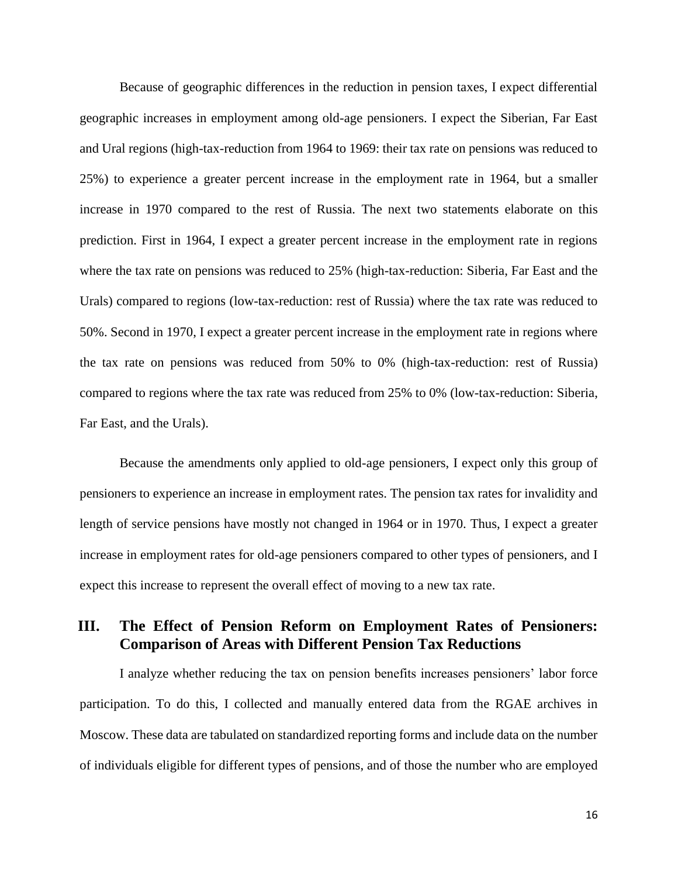Because of geographic differences in the reduction in pension taxes, I expect differential geographic increases in employment among old-age pensioners. I expect the Siberian, Far East and Ural regions (high-tax-reduction from 1964 to 1969: their tax rate on pensions was reduced to 25%) to experience a greater percent increase in the employment rate in 1964, but a smaller increase in 1970 compared to the rest of Russia. The next two statements elaborate on this prediction. First in 1964, I expect a greater percent increase in the employment rate in regions where the tax rate on pensions was reduced to 25% (high-tax-reduction: Siberia, Far East and the Urals) compared to regions (low-tax-reduction: rest of Russia) where the tax rate was reduced to 50%. Second in 1970, I expect a greater percent increase in the employment rate in regions where the tax rate on pensions was reduced from 50% to 0% (high-tax-reduction: rest of Russia) compared to regions where the tax rate was reduced from 25% to 0% (low-tax-reduction: Siberia, Far East, and the Urals).

Because the amendments only applied to old-age pensioners, I expect only this group of pensioners to experience an increase in employment rates. The pension tax rates for invalidity and length of service pensions have mostly not changed in 1964 or in 1970. Thus, I expect a greater increase in employment rates for old-age pensioners compared to other types of pensioners, and I expect this increase to represent the overall effect of moving to a new tax rate.

# **III. The Effect of Pension Reform on Employment Rates of Pensioners: Comparison of Areas with Different Pension Tax Reductions**

I analyze whether reducing the tax on pension benefits increases pensioners' labor force participation. To do this, I collected and manually entered data from the RGAE archives in Moscow. These data are tabulated on standardized reporting forms and include data on the number of individuals eligible for different types of pensions, and of those the number who are employed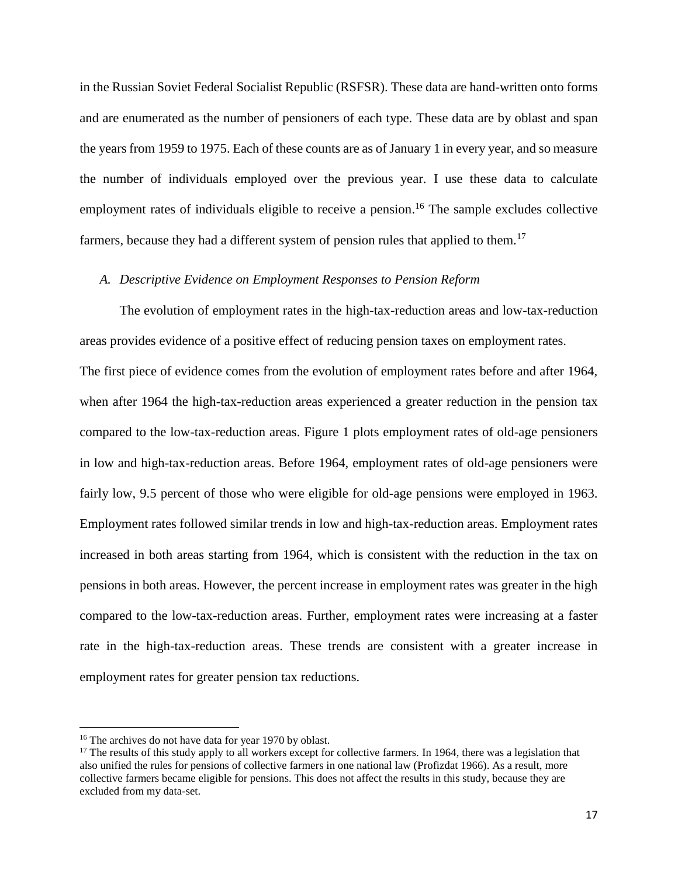in the Russian Soviet Federal Socialist Republic (RSFSR). These data are hand-written onto forms and are enumerated as the number of pensioners of each type. These data are by oblast and span the years from 1959 to 1975. Each of these counts are as of January 1 in every year, and so measure the number of individuals employed over the previous year. I use these data to calculate employment rates of individuals eligible to receive a pension.<sup>16</sup> The sample excludes collective farmers, because they had a different system of pension rules that applied to them.<sup>17</sup>

## *A. Descriptive Evidence on Employment Responses to Pension Reform*

The evolution of employment rates in the high-tax-reduction areas and low-tax-reduction areas provides evidence of a positive effect of reducing pension taxes on employment rates. The first piece of evidence comes from the evolution of employment rates before and after 1964, when after 1964 the high-tax-reduction areas experienced a greater reduction in the pension tax compared to the low-tax-reduction areas. Figure 1 plots employment rates of old-age pensioners in low and high-tax-reduction areas. Before 1964, employment rates of old-age pensioners were fairly low, 9.5 percent of those who were eligible for old-age pensions were employed in 1963. Employment rates followed similar trends in low and high-tax-reduction areas. Employment rates increased in both areas starting from 1964, which is consistent with the reduction in the tax on pensions in both areas. However, the percent increase in employment rates was greater in the high compared to the low-tax-reduction areas. Further, employment rates were increasing at a faster rate in the high-tax-reduction areas. These trends are consistent with a greater increase in employment rates for greater pension tax reductions.

 $\overline{a}$ 

<sup>&</sup>lt;sup>16</sup> The archives do not have data for year 1970 by oblast.

 $17$  The results of this study apply to all workers except for collective farmers. In 1964, there was a legislation that also unified the rules for pensions of collective farmers in one national law (Profizdat 1966). As a result, more collective farmers became eligible for pensions. This does not affect the results in this study, because they are excluded from my data-set.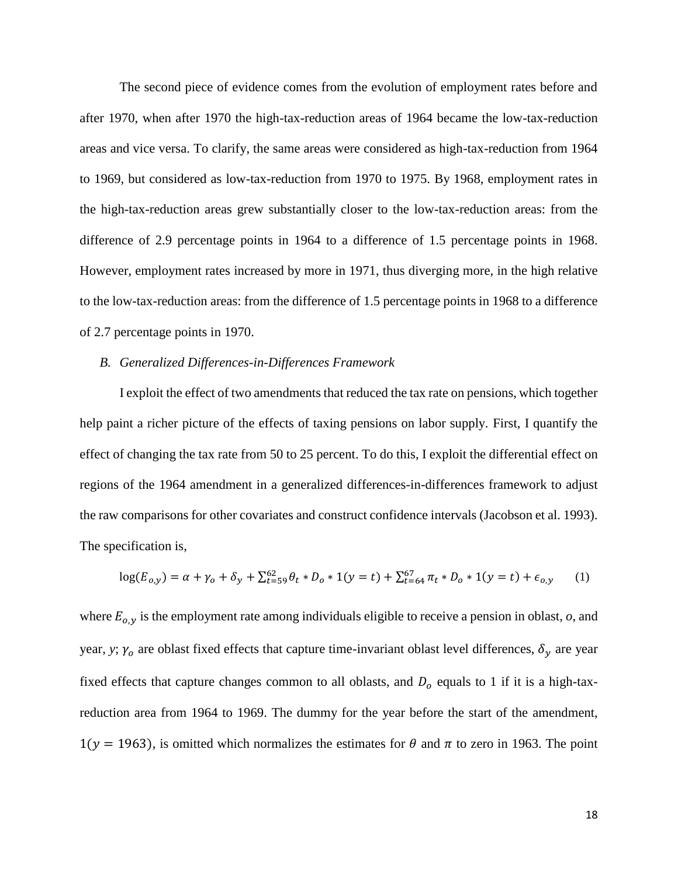The second piece of evidence comes from the evolution of employment rates before and after 1970, when after 1970 the high-tax-reduction areas of 1964 became the low-tax-reduction areas and vice versa. To clarify, the same areas were considered as high-tax-reduction from 1964 to 1969, but considered as low-tax-reduction from 1970 to 1975. By 1968, employment rates in the high-tax-reduction areas grew substantially closer to the low-tax-reduction areas: from the difference of 2.9 percentage points in 1964 to a difference of 1.5 percentage points in 1968. However, employment rates increased by more in 1971, thus diverging more, in the high relative to the low-tax-reduction areas: from the difference of 1.5 percentage points in 1968 to a difference of 2.7 percentage points in 1970.

#### *B. Generalized Differences-in-Differences Framework*

I exploit the effect of two amendments that reduced the tax rate on pensions, which together help paint a richer picture of the effects of taxing pensions on labor supply. First, I quantify the effect of changing the tax rate from 50 to 25 percent. To do this, I exploit the differential effect on regions of the 1964 amendment in a generalized differences-in-differences framework to adjust the raw comparisons for other covariates and construct confidence intervals (Jacobson et al. 1993). The specification is,

$$
\log(E_{o,y}) = \alpha + \gamma_o + \delta_y + \sum_{t=59}^{62} \theta_t * D_o * 1(y=t) + \sum_{t=64}^{67} \pi_t * D_o * 1(y=t) + \epsilon_{o,y} \tag{1}
$$

where  $E_{o,y}$  is the employment rate among individuals eligible to receive a pension in oblast,  $o$ , and year, *y*;  $\gamma_o$  are oblast fixed effects that capture time-invariant oblast level differences,  $\delta_y$  are year fixed effects that capture changes common to all oblasts, and  $D<sub>o</sub>$  equals to 1 if it is a high-taxreduction area from 1964 to 1969. The dummy for the year before the start of the amendment,  $1(y = 1963)$ , is omitted which normalizes the estimates for  $\theta$  and  $\pi$  to zero in 1963. The point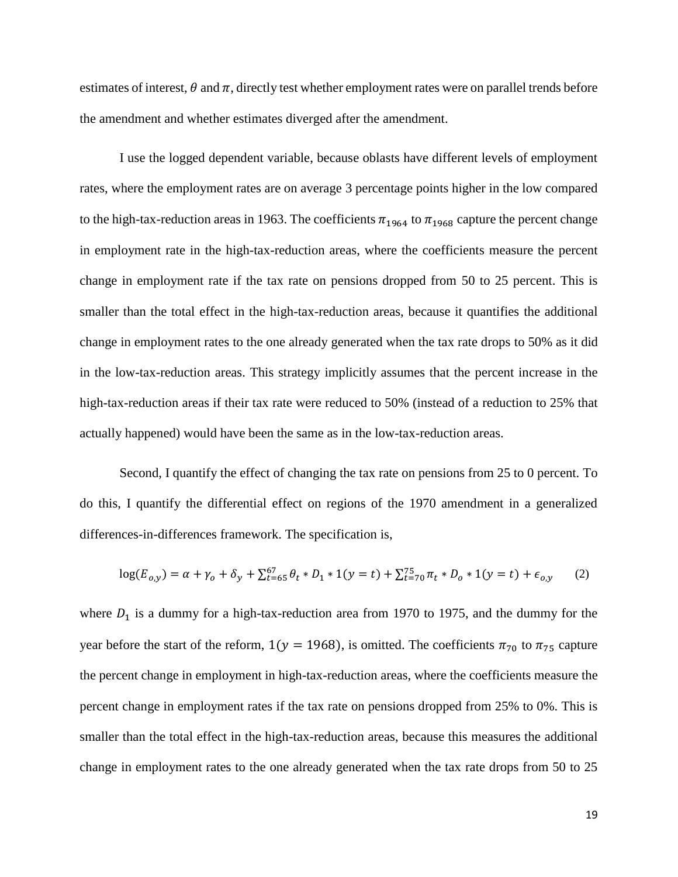estimates of interest,  $\theta$  and  $\pi$ , directly test whether employment rates were on parallel trends before the amendment and whether estimates diverged after the amendment.

I use the logged dependent variable, because oblasts have different levels of employment rates, where the employment rates are on average 3 percentage points higher in the low compared to the high-tax-reduction areas in 1963. The coefficients  $\pi_{1964}$  to  $\pi_{1968}$  capture the percent change in employment rate in the high-tax-reduction areas, where the coefficients measure the percent change in employment rate if the tax rate on pensions dropped from 50 to 25 percent. This is smaller than the total effect in the high-tax-reduction areas, because it quantifies the additional change in employment rates to the one already generated when the tax rate drops to 50% as it did in the low-tax-reduction areas. This strategy implicitly assumes that the percent increase in the high-tax-reduction areas if their tax rate were reduced to 50% (instead of a reduction to 25% that actually happened) would have been the same as in the low-tax-reduction areas.

Second, I quantify the effect of changing the tax rate on pensions from 25 to 0 percent. To do this, I quantify the differential effect on regions of the 1970 amendment in a generalized differences-in-differences framework. The specification is,

$$
\log(E_{0,y}) = \alpha + \gamma_0 + \delta_y + \sum_{t=65}^{67} \theta_t * D_1 * 1(y=t) + \sum_{t=70}^{75} \pi_t * D_0 * 1(y=t) + \epsilon_{0,y} \tag{2}
$$

where  $D_1$  is a dummy for a high-tax-reduction area from 1970 to 1975, and the dummy for the year before the start of the reform,  $1(y = 1968)$ , is omitted. The coefficients  $\pi_{70}$  to  $\pi_{75}$  capture the percent change in employment in high-tax-reduction areas, where the coefficients measure the percent change in employment rates if the tax rate on pensions dropped from 25% to 0%. This is smaller than the total effect in the high-tax-reduction areas, because this measures the additional change in employment rates to the one already generated when the tax rate drops from 50 to 25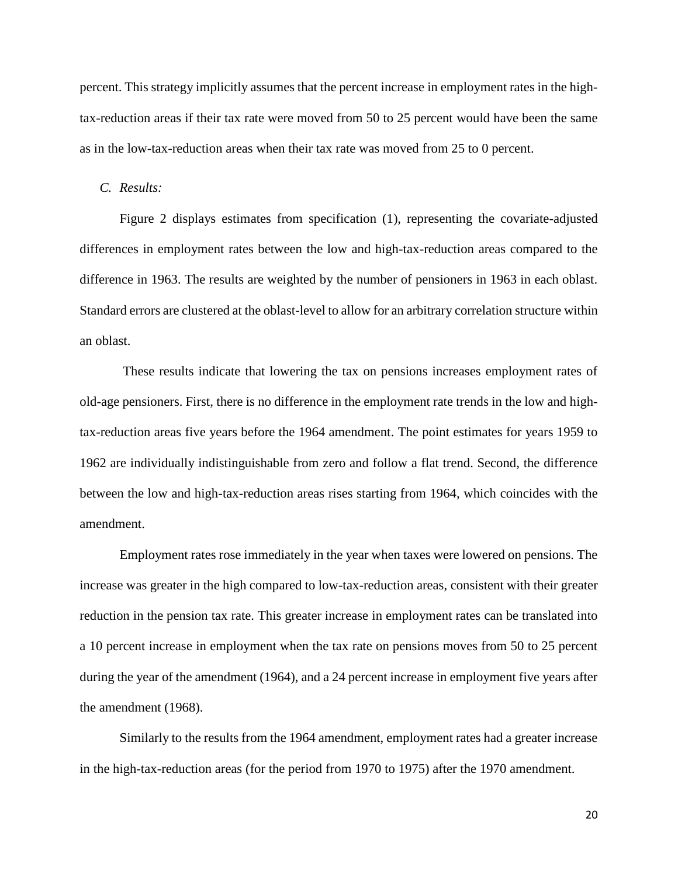percent. This strategy implicitly assumes that the percent increase in employment rates in the hightax-reduction areas if their tax rate were moved from 50 to 25 percent would have been the same as in the low-tax-reduction areas when their tax rate was moved from 25 to 0 percent.

#### *C. Results:*

Figure 2 displays estimates from specification (1), representing the covariate-adjusted differences in employment rates between the low and high-tax-reduction areas compared to the difference in 1963. The results are weighted by the number of pensioners in 1963 in each oblast. Standard errors are clustered at the oblast-level to allow for an arbitrary correlation structure within an oblast.

These results indicate that lowering the tax on pensions increases employment rates of old-age pensioners. First, there is no difference in the employment rate trends in the low and hightax-reduction areas five years before the 1964 amendment. The point estimates for years 1959 to 1962 are individually indistinguishable from zero and follow a flat trend. Second, the difference between the low and high-tax-reduction areas rises starting from 1964, which coincides with the amendment.

Employment rates rose immediately in the year when taxes were lowered on pensions. The increase was greater in the high compared to low-tax-reduction areas, consistent with their greater reduction in the pension tax rate. This greater increase in employment rates can be translated into a 10 percent increase in employment when the tax rate on pensions moves from 50 to 25 percent during the year of the amendment (1964), and a 24 percent increase in employment five years after the amendment (1968).

Similarly to the results from the 1964 amendment, employment rates had a greater increase in the high-tax-reduction areas (for the period from 1970 to 1975) after the 1970 amendment.

20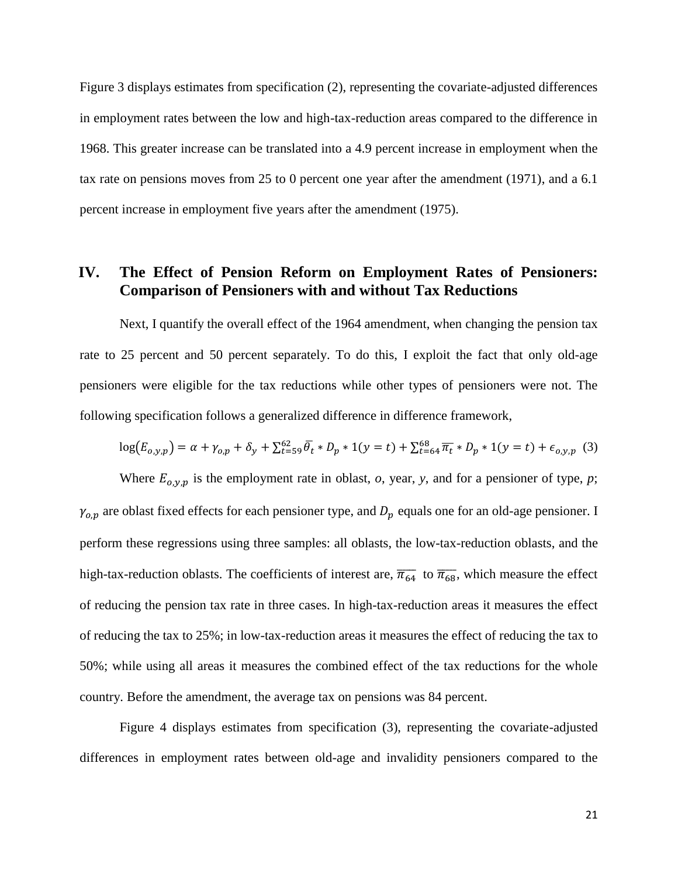Figure 3 displays estimates from specification (2), representing the covariate-adjusted differences in employment rates between the low and high-tax-reduction areas compared to the difference in 1968. This greater increase can be translated into a 4.9 percent increase in employment when the tax rate on pensions moves from 25 to 0 percent one year after the amendment (1971), and a 6.1 percent increase in employment five years after the amendment (1975).

# **IV. The Effect of Pension Reform on Employment Rates of Pensioners: Comparison of Pensioners with and without Tax Reductions**

Next, I quantify the overall effect of the 1964 amendment, when changing the pension tax rate to 25 percent and 50 percent separately. To do this, I exploit the fact that only old-age pensioners were eligible for the tax reductions while other types of pensioners were not. The following specification follows a generalized difference in difference framework,

$$
\log(E_{o,y,p}) = \alpha + \gamma_{o,p} + \delta_y + \sum_{t=59}^{62} \overline{\theta}_t * D_p * 1(y=t) + \sum_{t=64}^{68} \overline{\pi}_t * D_p * 1(y=t) + \epsilon_{o,y,p} \tag{3}
$$

Where  $E_{o,v,p}$  is the employment rate in oblast, *o*, year, *y*, and for a pensioner of type, *p*;  $\gamma_{o,p}$  are oblast fixed effects for each pensioner type, and  $D_p$  equals one for an old-age pensioner. I perform these regressions using three samples: all oblasts, the low-tax-reduction oblasts, and the high-tax-reduction oblasts. The coefficients of interest are,  $\overline{\pi_{64}}$  to  $\overline{\pi_{68}}$ , which measure the effect of reducing the pension tax rate in three cases. In high-tax-reduction areas it measures the effect of reducing the tax to 25%; in low-tax-reduction areas it measures the effect of reducing the tax to 50%; while using all areas it measures the combined effect of the tax reductions for the whole country. Before the amendment, the average tax on pensions was 84 percent.

Figure 4 displays estimates from specification (3), representing the covariate-adjusted differences in employment rates between old-age and invalidity pensioners compared to the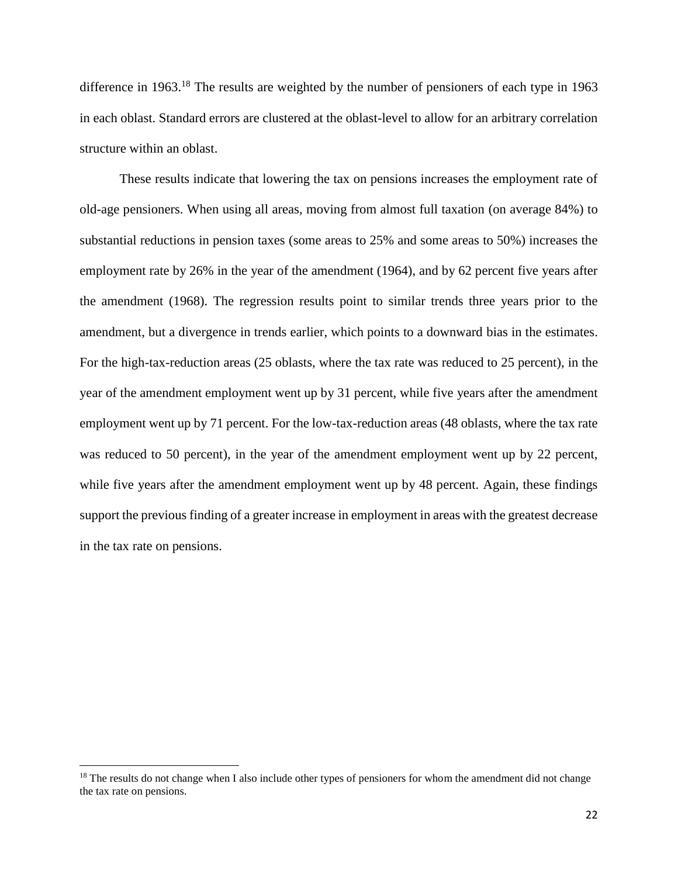difference in 1963.<sup>18</sup> The results are weighted by the number of pensioners of each type in 1963 in each oblast. Standard errors are clustered at the oblast-level to allow for an arbitrary correlation structure within an oblast.

These results indicate that lowering the tax on pensions increases the employment rate of old-age pensioners. When using all areas, moving from almost full taxation (on average 84%) to substantial reductions in pension taxes (some areas to 25% and some areas to 50%) increases the employment rate by 26% in the year of the amendment (1964), and by 62 percent five years after the amendment (1968). The regression results point to similar trends three years prior to the amendment, but a divergence in trends earlier, which points to a downward bias in the estimates. For the high-tax-reduction areas (25 oblasts, where the tax rate was reduced to 25 percent), in the year of the amendment employment went up by 31 percent, while five years after the amendment employment went up by 71 percent. For the low-tax-reduction areas (48 oblasts, where the tax rate was reduced to 50 percent), in the year of the amendment employment went up by 22 percent, while five years after the amendment employment went up by 48 percent. Again, these findings support the previous finding of a greater increase in employment in areas with the greatest decrease in the tax rate on pensions.

<sup>&</sup>lt;sup>18</sup> The results do not change when I also include other types of pensioners for whom the amendment did not change the tax rate on pensions.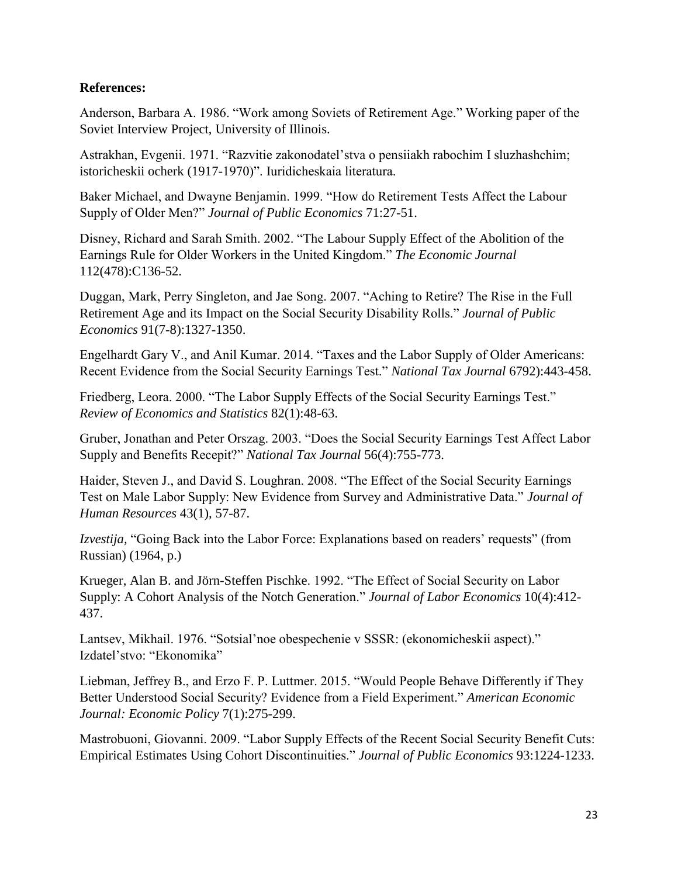# **References:**

Anderson, Barbara A. 1986. "Work among Soviets of Retirement Age." Working paper of the Soviet Interview Project, University of Illinois.

Astrakhan, Evgenii. 1971. "Razvitie zakonodatel'stva o pensiiakh rabochim I sluzhashchim; istoricheskii ocherk (1917-1970)". Iuridicheskaia literatura.

Baker Michael, and Dwayne Benjamin. 1999. "How do Retirement Tests Affect the Labour Supply of Older Men?" *Journal of Public Economics* 71:27-51.

Disney, Richard and Sarah Smith. 2002. "The Labour Supply Effect of the Abolition of the Earnings Rule for Older Workers in the United Kingdom." *The Economic Journal* 112(478):C136-52.

Duggan, Mark, Perry Singleton, and Jae Song. 2007. "Aching to Retire? The Rise in the Full Retirement Age and its Impact on the Social Security Disability Rolls." *Journal of Public Economics* 91(7-8):1327-1350.

Engelhardt Gary V., and Anil Kumar. 2014. "Taxes and the Labor Supply of Older Americans: Recent Evidence from the Social Security Earnings Test." *National Tax Journal* 6792):443-458.

Friedberg, Leora. 2000. "The Labor Supply Effects of the Social Security Earnings Test." *Review of Economics and Statistics* 82(1):48-63.

Gruber, Jonathan and Peter Orszag. 2003. "Does the Social Security Earnings Test Affect Labor Supply and Benefits Recepit?" *National Tax Journal* 56(4):755-773.

Haider, Steven J., and David S. Loughran. 2008. "The Effect of the Social Security Earnings Test on Male Labor Supply: New Evidence from Survey and Administrative Data." *Journal of Human Resources* 43(1), 57-87.

*Izvestija,* "Going Back into the Labor Force: Explanations based on readers' requests" (from Russian) (1964, p.)

Krueger, Alan B. and Jörn-Steffen Pischke. 1992. "The Effect of Social Security on Labor Supply: A Cohort Analysis of the Notch Generation." *Journal of Labor Economics* 10(4):412- 437.

Lantsev, Mikhail. 1976. "Sotsial'noe obespechenie v SSSR: (ekonomicheskii aspect)." Izdatel'stvo: "Ekonomika"

Liebman, Jeffrey B., and Erzo F. P. Luttmer. 2015. "Would People Behave Differently if They Better Understood Social Security? Evidence from a Field Experiment." *American Economic Journal: Economic Policy* 7(1):275-299.

Mastrobuoni, Giovanni. 2009. "Labor Supply Effects of the Recent Social Security Benefit Cuts: Empirical Estimates Using Cohort Discontinuities." *Journal of Public Economics* 93:1224-1233.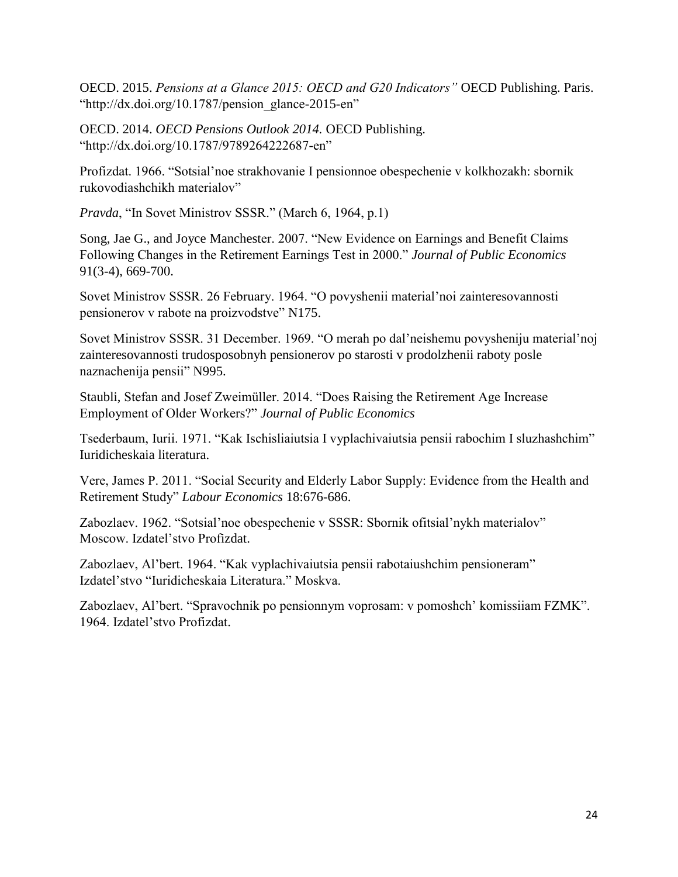OECD. 2015. *Pensions at a Glance 2015: OECD and G20 Indicators"* OECD Publishing. Paris. "http://dx.doi.org/10.1787/pension\_glance-2015-en"

OECD. 2014. *OECD Pensions Outlook 2014.* OECD Publishing. "http://dx.doi.org/10.1787/9789264222687-en"

Profizdat. 1966. "Sotsial'noe strakhovanie I pensionnoe obespechenie v kolkhozakh: sbornik rukovodiashchikh materialov"

*Pravda*, "In Sovet Ministrov SSSR." (March 6, 1964, p.1)

Song, Jae G., and Joyce Manchester. 2007. "New Evidence on Earnings and Benefit Claims Following Changes in the Retirement Earnings Test in 2000." *Journal of Public Economics* 91(3-4), 669-700.

Sovet Ministrov SSSR. 26 February. 1964. "O povyshenii material'noi zainteresovannosti pensionerov v rabote na proizvodstve" N175.

Sovet Ministrov SSSR. 31 December. 1969. "O merah po dal'neishemu povysheniju material'noj zainteresovannosti trudosposobnyh pensionerov po starosti v prodolzhenii raboty posle naznachenija pensii" N995.

Staubli, Stefan and Josef Zweimüller. 2014. "Does Raising the Retirement Age Increase Employment of Older Workers?" *Journal of Public Economics*

Tsederbaum, Iurii. 1971. "Kak Ischisliaiutsia I vyplachivaiutsia pensii rabochim I sluzhashchim" Iuridicheskaia literatura.

Vere, James P. 2011. "Social Security and Elderly Labor Supply: Evidence from the Health and Retirement Study" *Labour Economics* 18:676-686.

Zabozlaev. 1962. "Sotsial'noe obespechenie v SSSR: Sbornik ofitsial'nykh materialov" Moscow. Izdatel'stvo Profizdat.

Zabozlaev, Al'bert. 1964. "Kak vyplachivaiutsia pensii rabotaiushchim pensioneram" Izdatel'stvo "Iuridicheskaia Literatura." Moskva.

Zabozlaev, Al'bert. "Spravochnik po pensionnym voprosam: v pomoshch' komissiiam FZMK". 1964. Izdatel'stvo Profizdat.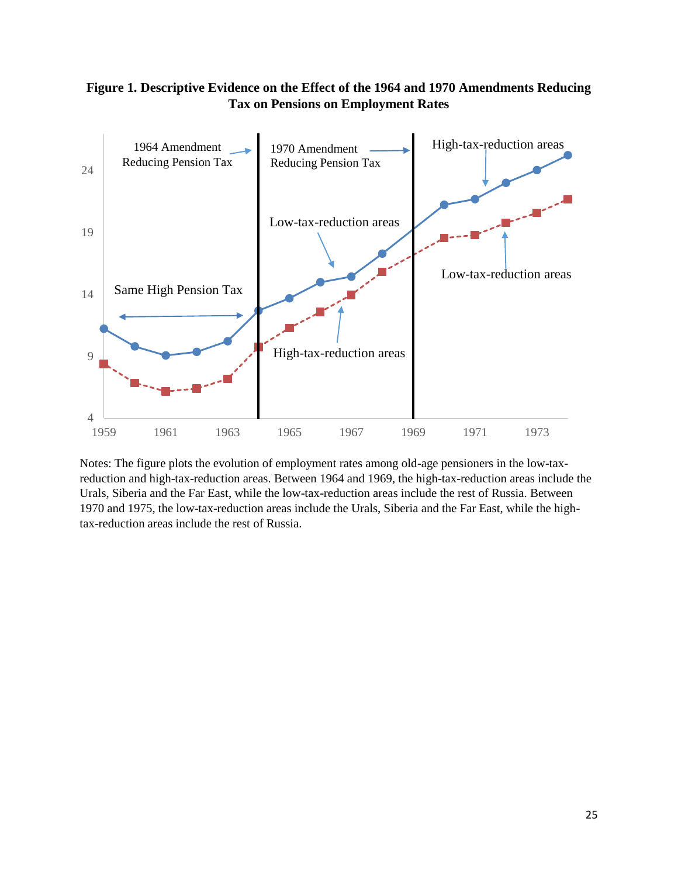# **Figure 1. Descriptive Evidence on the Effect of the 1964 and 1970 Amendments Reducing Tax on Pensions on Employment Rates**



Notes: The figure plots the evolution of employment rates among old-age pensioners in the low-taxreduction and high-tax-reduction areas. Between 1964 and 1969, the high-tax-reduction areas include the Urals, Siberia and the Far East, while the low-tax-reduction areas include the rest of Russia. Between 1970 and 1975, the low-tax-reduction areas include the Urals, Siberia and the Far East, while the hightax-reduction areas include the rest of Russia.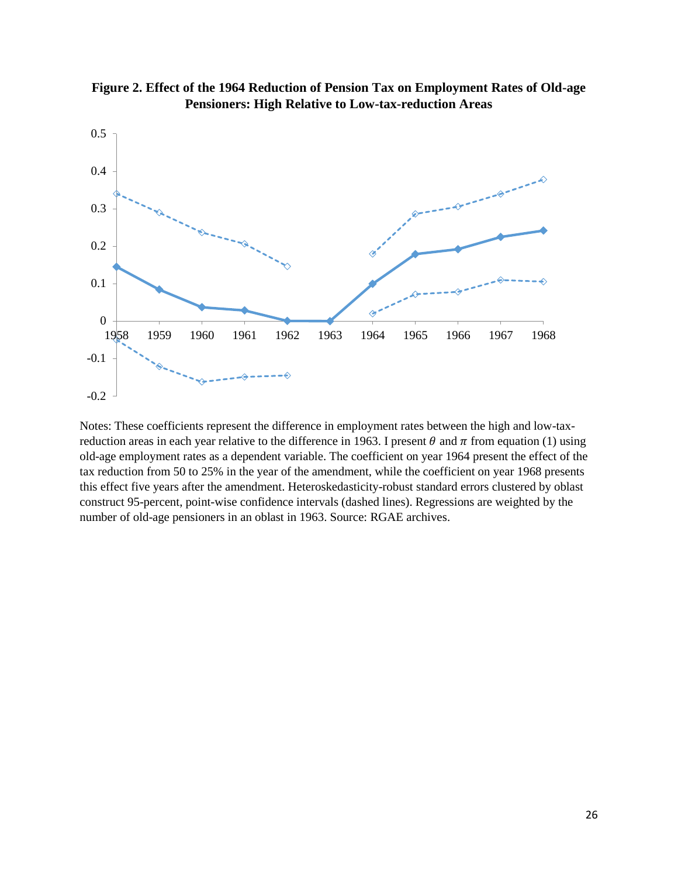



Notes: These coefficients represent the difference in employment rates between the high and low-taxreduction areas in each year relative to the difference in 1963. I present  $\theta$  and  $\pi$  from equation (1) using old-age employment rates as a dependent variable. The coefficient on year 1964 present the effect of the tax reduction from 50 to 25% in the year of the amendment, while the coefficient on year 1968 presents this effect five years after the amendment. Heteroskedasticity-robust standard errors clustered by oblast construct 95-percent, point-wise confidence intervals (dashed lines). Regressions are weighted by the number of old-age pensioners in an oblast in 1963. Source: RGAE archives.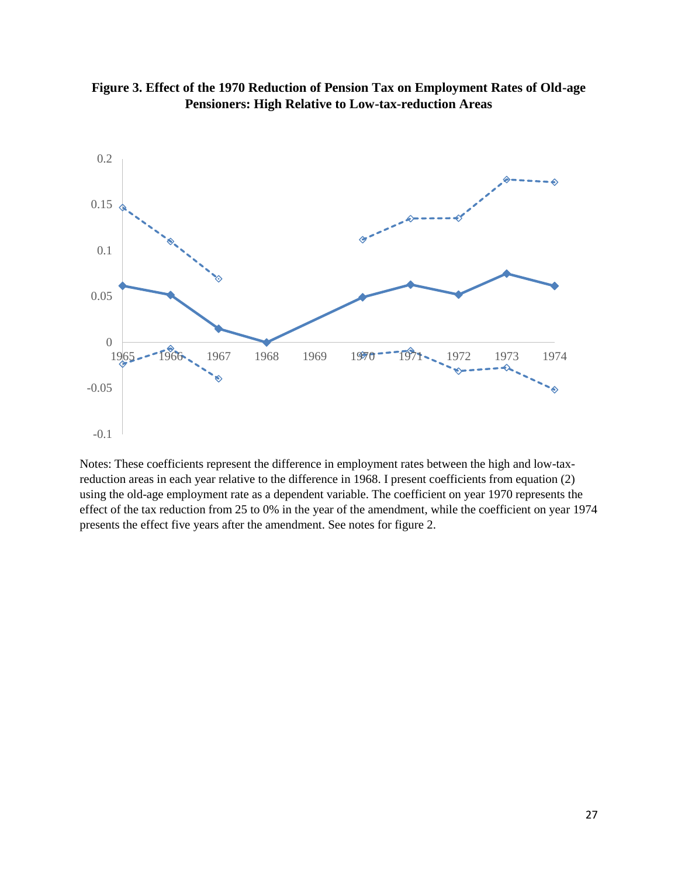

**Figure 3. Effect of the 1970 Reduction of Pension Tax on Employment Rates of Old-age Pensioners: High Relative to Low-tax-reduction Areas**

Notes: These coefficients represent the difference in employment rates between the high and low-taxreduction areas in each year relative to the difference in 1968. I present coefficients from equation (2) using the old-age employment rate as a dependent variable. The coefficient on year 1970 represents the effect of the tax reduction from 25 to 0% in the year of the amendment, while the coefficient on year 1974 presents the effect five years after the amendment. See notes for figure 2.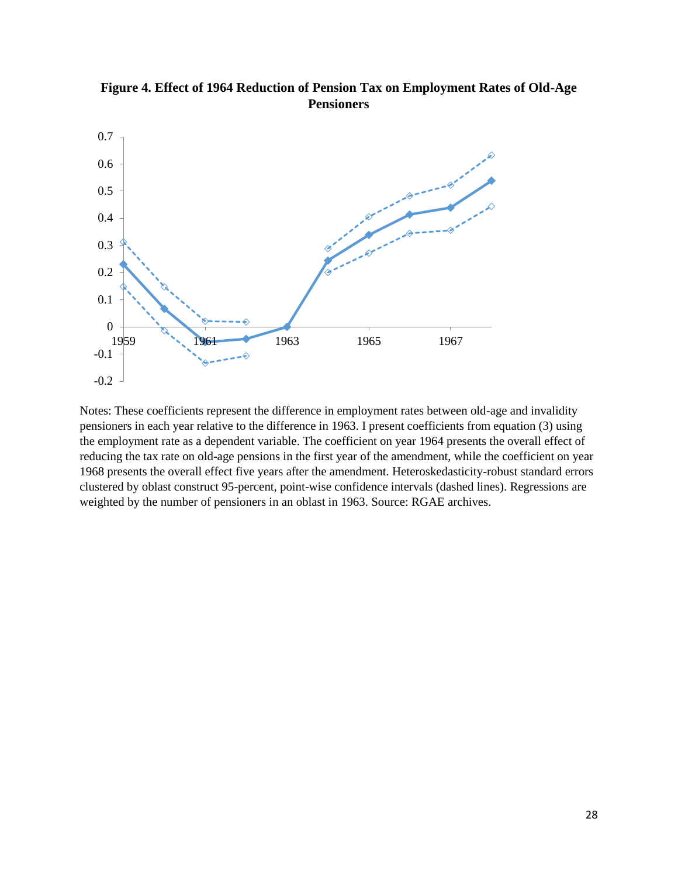

**Figure 4. Effect of 1964 Reduction of Pension Tax on Employment Rates of Old-Age Pensioners**

Notes: These coefficients represent the difference in employment rates between old-age and invalidity pensioners in each year relative to the difference in 1963. I present coefficients from equation (3) using the employment rate as a dependent variable. The coefficient on year 1964 presents the overall effect of reducing the tax rate on old-age pensions in the first year of the amendment, while the coefficient on year 1968 presents the overall effect five years after the amendment. Heteroskedasticity-robust standard errors clustered by oblast construct 95-percent, point-wise confidence intervals (dashed lines). Regressions are weighted by the number of pensioners in an oblast in 1963. Source: RGAE archives.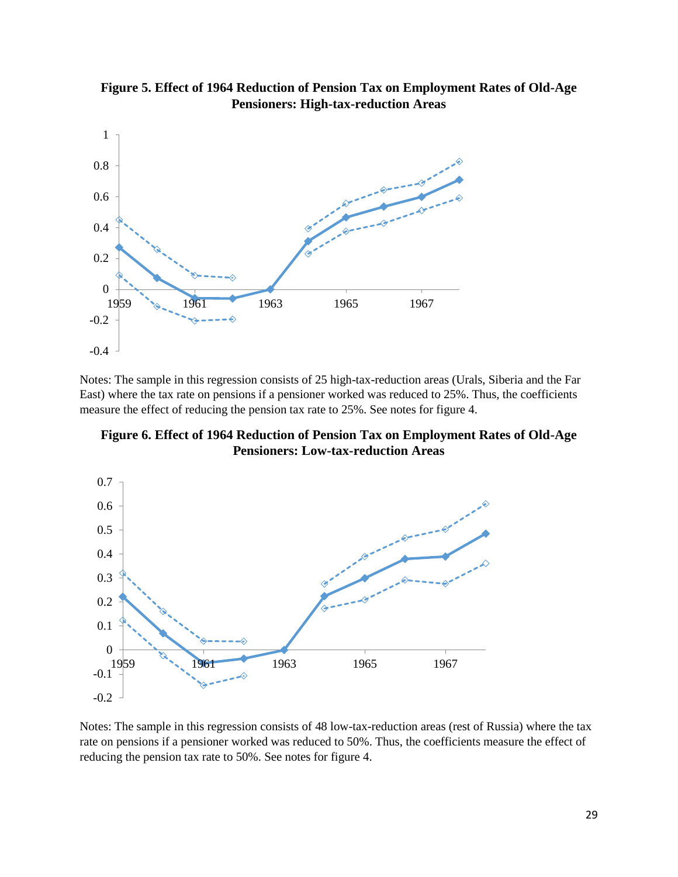

**Figure 5. Effect of 1964 Reduction of Pension Tax on Employment Rates of Old-Age Pensioners: High-tax-reduction Areas**

Notes: The sample in this regression consists of 25 high-tax-reduction areas (Urals, Siberia and the Far East) where the tax rate on pensions if a pensioner worked was reduced to 25%. Thus, the coefficients measure the effect of reducing the pension tax rate to 25%. See notes for figure 4.

**Figure 6. Effect of 1964 Reduction of Pension Tax on Employment Rates of Old-Age Pensioners: Low-tax-reduction Areas**



Notes: The sample in this regression consists of 48 low-tax-reduction areas (rest of Russia) where the tax rate on pensions if a pensioner worked was reduced to 50%. Thus, the coefficients measure the effect of reducing the pension tax rate to 50%. See notes for figure 4.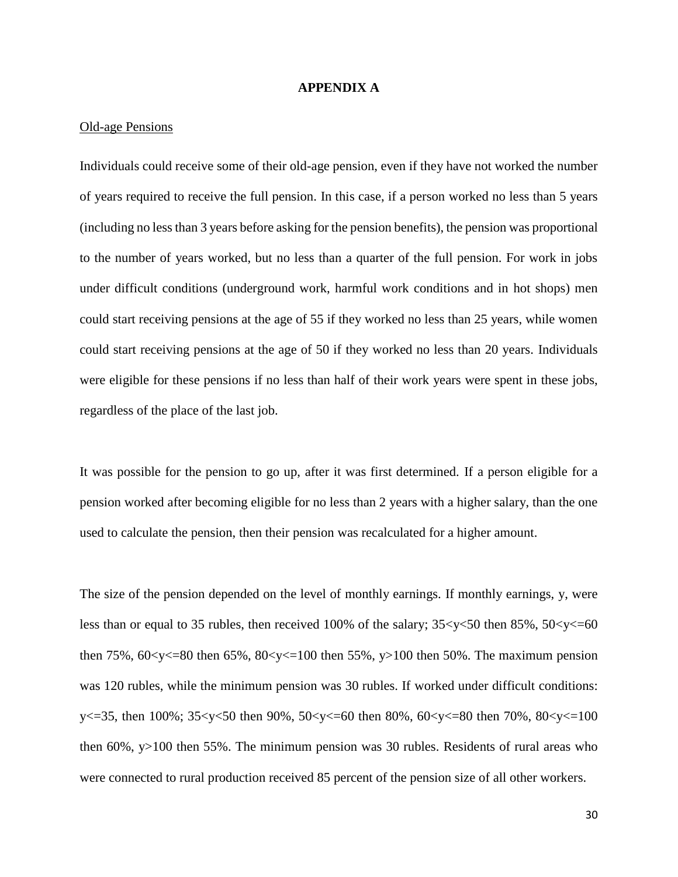#### **APPENDIX A**

#### Old-age Pensions

Individuals could receive some of their old-age pension, even if they have not worked the number of years required to receive the full pension. In this case, if a person worked no less than 5 years (including no less than 3 years before asking for the pension benefits), the pension was proportional to the number of years worked, but no less than a quarter of the full pension. For work in jobs under difficult conditions (underground work, harmful work conditions and in hot shops) men could start receiving pensions at the age of 55 if they worked no less than 25 years, while women could start receiving pensions at the age of 50 if they worked no less than 20 years. Individuals were eligible for these pensions if no less than half of their work years were spent in these jobs, regardless of the place of the last job.

It was possible for the pension to go up, after it was first determined. If a person eligible for a pension worked after becoming eligible for no less than 2 years with a higher salary, than the one used to calculate the pension, then their pension was recalculated for a higher amount.

The size of the pension depended on the level of monthly earnings. If monthly earnings, y, were less than or equal to 35 rubles, then received 100% of the salary;  $35 \le y \le 50$  then 85%,  $50 \le y \le 60$ then 75%,  $60 < y < 80$  then 65%,  $80 < y < 100$  then 55%, y 100 then 50%. The maximum pension was 120 rubles, while the minimum pension was 30 rubles. If worked under difficult conditions: y<=35, then 100%; 35<y<50 then 90%, 50<y<=60 then 80%, 60<y<=80 then 70%, 80<y<=100 then 60%, y>100 then 55%. The minimum pension was 30 rubles. Residents of rural areas who were connected to rural production received 85 percent of the pension size of all other workers.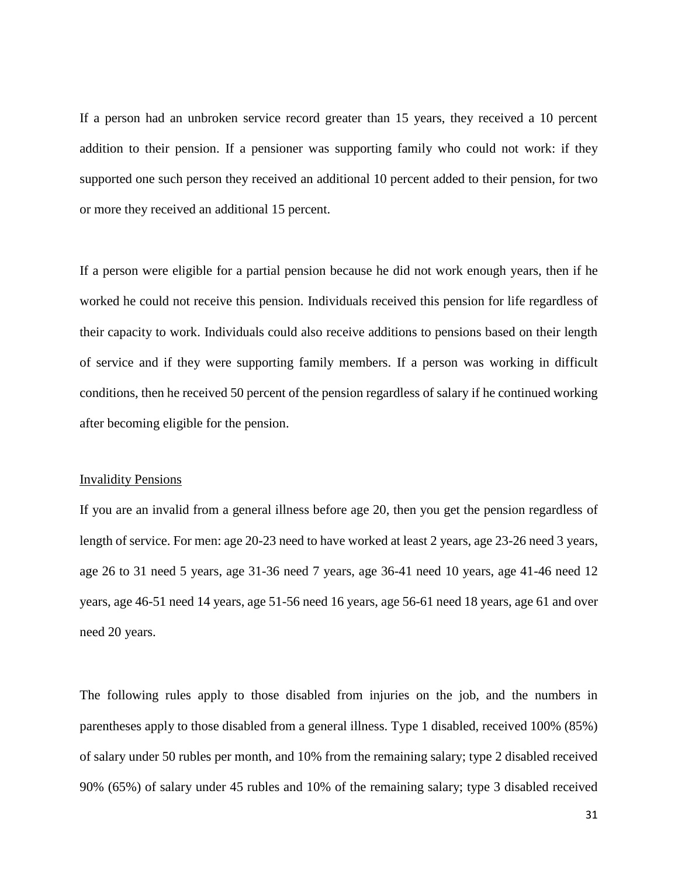If a person had an unbroken service record greater than 15 years, they received a 10 percent addition to their pension. If a pensioner was supporting family who could not work: if they supported one such person they received an additional 10 percent added to their pension, for two or more they received an additional 15 percent.

If a person were eligible for a partial pension because he did not work enough years, then if he worked he could not receive this pension. Individuals received this pension for life regardless of their capacity to work. Individuals could also receive additions to pensions based on their length of service and if they were supporting family members. If a person was working in difficult conditions, then he received 50 percent of the pension regardless of salary if he continued working after becoming eligible for the pension.

#### Invalidity Pensions

If you are an invalid from a general illness before age 20, then you get the pension regardless of length of service. For men: age 20-23 need to have worked at least 2 years, age 23-26 need 3 years, age 26 to 31 need 5 years, age 31-36 need 7 years, age 36-41 need 10 years, age 41-46 need 12 years, age 46-51 need 14 years, age 51-56 need 16 years, age 56-61 need 18 years, age 61 and over need 20 years.

The following rules apply to those disabled from injuries on the job, and the numbers in parentheses apply to those disabled from a general illness. Type 1 disabled, received 100% (85%) of salary under 50 rubles per month, and 10% from the remaining salary; type 2 disabled received 90% (65%) of salary under 45 rubles and 10% of the remaining salary; type 3 disabled received